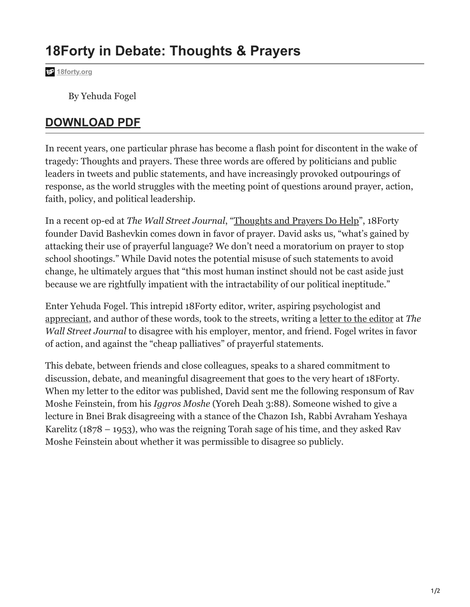## **18Forty in Debate: Thoughts & Prayers**

**[18forty.org](https://18forty.org/?post_type=articles&p=2908&preview=true)**

By Yehuda Fogel

## **[DOWNLOAD PDF](https://18forty.org/wp-content/uploads/2022/05/18forty.org-It-Takes-a-Village-Communal-Guidance-from-an-Orthodox-Criminologist.pdf)**

In recent years, one particular phrase has become a flash point for discontent in the wake of tragedy: Thoughts and prayers. These three words are offered by politicians and public leaders in tweets and public statements, and have increasingly provoked outpourings of response, as the world struggles with the meeting point of questions around prayer, action, faith, policy, and political leadership.

In a recent op-ed at *The Wall Street Journal*, ["Thoughts and Prayers Do Help"](https://www.wsj.com/articles/thoughts-and-prayers-do-help-religion-lincoln-uvalde-texas-mass-shooting-policy-11654030138), 18Forty founder David Bashevkin comes down in favor of prayer. David asks us, "what's gained by attacking their use of prayerful language? We don't need a moratorium on prayer to stop school shootings." While David notes the potential misuse of such statements to avoid change, he ultimately argues that "this most human instinct should not be cast aside just because we are rightfully impatient with the intractability of our political ineptitude."

Enter Yehuda Fogel. This intrepid 18Forty editor, writer, aspiring psychologist and [appreciant,](https://twitter.com/YehudaHaMaccabi) and author of these words, took to the streets, writing a [letter to the editor](https://www.wsj.com/articles/thoughts-and-prayers-shooting-mass-school-gun-control-regulation-action-uvalde-11654295616) at *The Wall Street Journal* to disagree with his employer, mentor, and friend. Fogel writes in favor of action, and against the "cheap palliatives" of prayerful statements.

This debate, between friends and close colleagues, speaks to a shared commitment to discussion, debate, and meaningful disagreement that goes to the very heart of 18Forty. When my letter to the editor was published, David sent me the following responsum of Rav Moshe Feinstein, from his *Iggros Moshe* (Yoreh Deah 3:88). Someone wished to give a lecture in Bnei Brak disagreeing with a stance of the Chazon Ish, Rabbi Avraham Yeshaya Karelitz (1878 – 1953), who was the reigning Torah sage of his time, and they asked Rav Moshe Feinstein about whether it was permissible to disagree so publicly.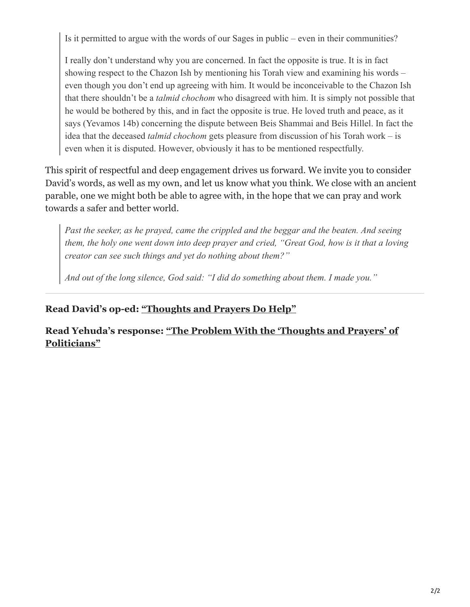Is it permitted to argue with the words of our Sages in public – even in their communities?

I really don't understand why you are concerned. In fact the opposite is true. It is in fact showing respect to the Chazon Ish by mentioning his Torah view and examining his words – even though you don't end up agreeing with him. It would be inconceivable to the Chazon Ish that there shouldn't be a *talmid chochom* who disagreed with him. It is simply not possible that he would be bothered by this, and in fact the opposite is true. He loved truth and peace, as it says (Yevamos 14b) concerning the dispute between Beis Shammai and Beis Hillel. In fact the idea that the deceased *talmid chochom* gets pleasure from discussion of his Torah work – is even when it is disputed. However, obviously it has to be mentioned respectfully.

This spirit of respectful and deep engagement drives us forward. We invite you to consider David's words, as well as my own, and let us know what you think. We close with an ancient parable, one we might both be able to agree with, in the hope that we can pray and work towards a safer and better world.

*Past the seeker, as he prayed, came the crippled and the beggar and the beaten. And seeing them, the holy one went down into deep prayer and cried, "Great God, how is it that a loving creator can see such things and yet do nothing about them?"*

*And out of the long silence, God said: "I did do something about them. I made you."*

### **Read David's op-ed: ["Thoughts and Prayers Do Help"](https://www.wsj.com/articles/thoughts-and-prayers-do-help-religion-lincoln-uvalde-texas-mass-shooting-policy-11654030138)**

**[Read Yehuda's response: "The Problem With the 'Thoughts and Prayers' of](https://www.wsj.com/articles/thoughts-and-prayers-shooting-mass-school-gun-control-regulation-action-uvalde-11654295616) Politicians"**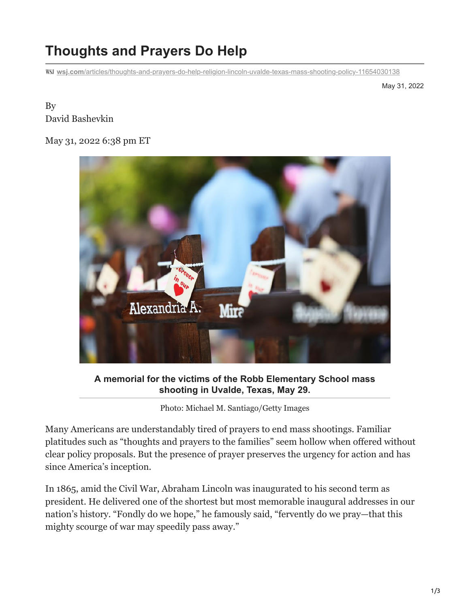# **Thoughts and Prayers Do Help**

**wsj.com**[/articles/thoughts-and-prayers-do-help-religion-lincoln-uvalde-texas-mass-shooting-policy-11654030138](https://www.wsj.com/articles/thoughts-and-prayers-do-help-religion-lincoln-uvalde-texas-mass-shooting-policy-11654030138)

May 31, 2022

#### By David Bashevkin

#### May 31, 2022 6:38 pm ET



**A memorial for the victims of the Robb Elementary School mass shooting in Uvalde, Texas, May 29.**

Photo: Michael M. Santiago/Getty Images

Many Americans are understandably tired of prayers to end mass shootings. Familiar platitudes such as "thoughts and prayers to the families" seem hollow when offered without clear policy proposals. But the presence of prayer preserves the urgency for action and has since America's inception.

In 1865, amid the Civil War, Abraham Lincoln was inaugurated to his second term as president. He delivered one of the shortest but most memorable inaugural addresses in our nation's history. "Fondly do we hope," he famously said, "fervently do we pray—that this mighty scourge of war may speedily pass away."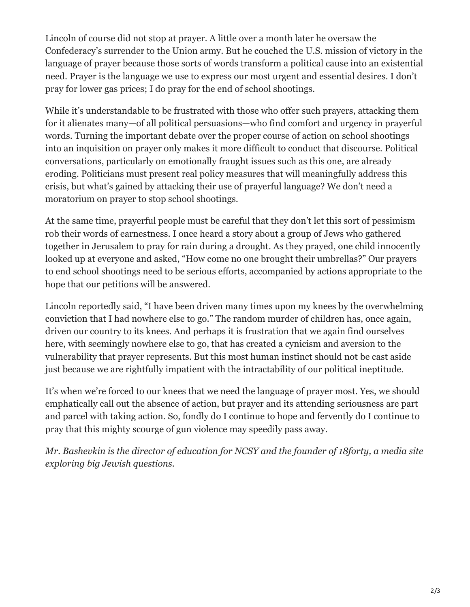Lincoln of course did not stop at prayer. A little over a month later he oversaw the Confederacy's surrender to the Union army. But he couched the U.S. mission of victory in the language of prayer because those sorts of words transform a political cause into an existential need. Prayer is the language we use to express our most urgent and essential desires. I don't pray for lower gas prices; I do pray for the end of school shootings.

While it's understandable to be frustrated with those who offer such prayers, attacking them for it alienates many—of all political persuasions—who find comfort and urgency in prayerful words. Turning the important debate over the proper course of action on school shootings into an inquisition on prayer only makes it more difficult to conduct that discourse. Political conversations, particularly on emotionally fraught issues such as this one, are already eroding. Politicians must present real policy measures that will meaningfully address this crisis, but what's gained by attacking their use of prayerful language? We don't need a moratorium on prayer to stop school shootings.

At the same time, prayerful people must be careful that they don't let this sort of pessimism rob their words of earnestness. I once heard a story about a group of Jews who gathered together in Jerusalem to pray for rain during a drought. As they prayed, one child innocently looked up at everyone and asked, "How come no one brought their umbrellas?" Our prayers to end school shootings need to be serious efforts, accompanied by actions appropriate to the hope that our petitions will be answered.

Lincoln reportedly said, "I have been driven many times upon my knees by the overwhelming conviction that I had nowhere else to go." The random murder of children has, once again, driven our country to its knees. And perhaps it is frustration that we again find ourselves here, with seemingly nowhere else to go, that has created a cynicism and aversion to the vulnerability that prayer represents. But this most human instinct should not be cast aside just because we are rightfully impatient with the intractability of our political ineptitude.

It's when we're forced to our knees that we need the language of prayer most. Yes, we should emphatically call out the absence of action, but prayer and its attending seriousness are part and parcel with taking action. So, fondly do I continue to hope and fervently do I continue to pray that this mighty scourge of gun violence may speedily pass away.

*Mr. Bashevkin is the director of education for NCSY and the founder of 18forty, a media site exploring big Jewish questions.*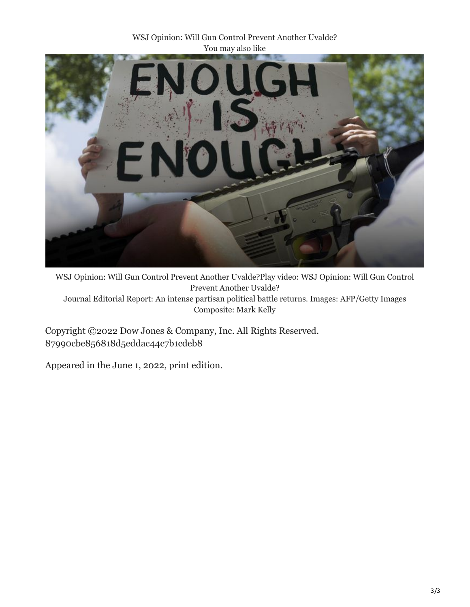WSJ Opinion: Will Gun Control Prevent Another Uvalde? You may also like



WSJ Opinion: Will Gun Control Prevent Another Uvalde?Play video: WSJ Opinion: Will Gun Control Prevent Another Uvalde? Journal Editorial Report: An intense partisan political battle returns. Images: AFP/Getty Images Composite: Mark Kelly

Copyright ©2022 Dow Jones & Company, Inc. All Rights Reserved. 87990cbe856818d5eddac44c7b1cdeb8

Appeared in the June 1, 2022, print edition.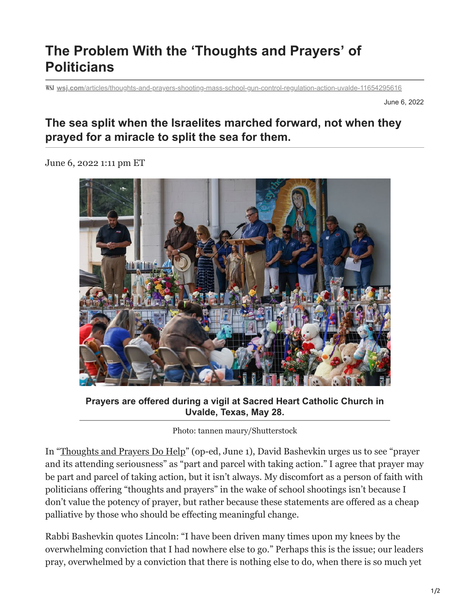## **The Problem With the 'Thoughts and Prayers' of Politicians**

**wsj.com**[/articles/thoughts-and-prayers-shooting-mass-school-gun-control-regulation-action-uvalde-11654295616](https://www.wsj.com/articles/thoughts-and-prayers-shooting-mass-school-gun-control-regulation-action-uvalde-11654295616)

June 6, 2022

## **The sea split when the Israelites marched forward, not when they prayed for a miracle to split the sea for them.**

June 6, 2022 1:11 pm ET



**Prayers are offered during a vigil at Sacred Heart Catholic Church in Uvalde, Texas, May 28.**

Photo: tannen maury/Shutterstock

In "[Thoughts and Prayers Do Help"](https://www.wsj.com/articles/thoughts-and-prayers-do-help-religion-lincoln-uvalde-texas-mass-shooting-policy-11654030138?mod=article_inline) (op-ed, June 1), David Bashevkin urges us to see "prayer and its attending seriousness" as "part and parcel with taking action." I agree that prayer may be part and parcel of taking action, but it isn't always. My discomfort as a person of faith with politicians offering "thoughts and prayers" in the wake of school shootings isn't because I don't value the potency of prayer, but rather because these statements are offered as a cheap palliative by those who should be effecting meaningful change.

Rabbi Bashevkin quotes Lincoln: "I have been driven many times upon my knees by the overwhelming conviction that I had nowhere else to go." Perhaps this is the issue; our leaders pray, overwhelmed by a conviction that there is nothing else to do, when there is so much yet